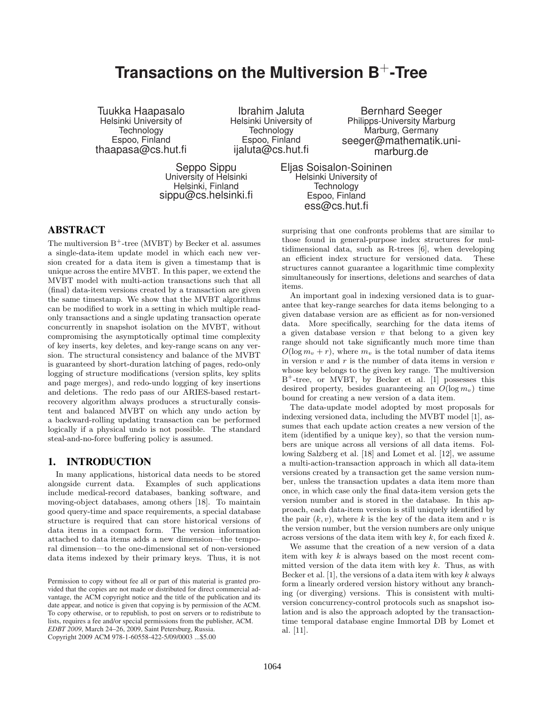# **Transactions on the Multiversion B**+**-Tree**

Tuukka Haapasalo Helsinki University of **Technology** Espoo, Finland thaapasa@cs.hut.fi

Ibrahim Jaluta Helsinki University of **Technology** Espoo, Finland ijaluta@cs.hut.fi

Seppo Sippu University of Helsinki Helsinki, Finland sippu@cs.helsinki.fi

Bernhard Seeger Philipps-University Marburg Marburg, Germany seeger@mathematik.unimarburg.de

Eljas Soisalon-Soininen Helsinki University of **Technology** Espoo, Finland ess@cs.hut.fi

## ABSTRACT

The multiversion  $B^+$ -tree (MVBT) by Becker et al. assumes a single-data-item update model in which each new version created for a data item is given a timestamp that is unique across the entire MVBT. In this paper, we extend the MVBT model with multi-action transactions such that all (final) data-item versions created by a transaction are given the same timestamp. We show that the MVBT algorithms can be modified to work in a setting in which multiple readonly transactions and a single updating transaction operate concurrently in snapshot isolation on the MVBT, without compromising the asymptotically optimal time complexity of key inserts, key deletes, and key-range scans on any version. The structural consistency and balance of the MVBT is guaranteed by short-duration latching of pages, redo-only logging of structure modifications (version splits, key splits and page merges), and redo-undo logging of key insertions and deletions. The redo pass of our ARIES-based restartrecovery algorithm always produces a structurally consistent and balanced MVBT on which any undo action by a backward-rolling updating transaction can be performed logically if a physical undo is not possible. The standard steal-and-no-force buffering policy is assumed.

## 1. INTRODUCTION

In many applications, historical data needs to be stored alongside current data. Examples of such applications include medical-record databases, banking software, and moving-object databases, among others [18]. To maintain good query-time and space requirements, a special database structure is required that can store historical versions of data items in a compact form. The version information attached to data items adds a new dimension—the temporal dimension—to the one-dimensional set of non-versioned data items indexed by their primary keys. Thus, it is not

surprising that one confronts problems that are similar to those found in general-purpose index structures for multidimensional data, such as R-trees [6], when developing an efficient index structure for versioned data. These structures cannot guarantee a logarithmic time complexity simultaneously for insertions, deletions and searches of data items.

An important goal in indexing versioned data is to guarantee that key-range searches for data items belonging to a given database version are as efficient as for non-versioned data. More specifically, searching for the data items of a given database version  $v$  that belong to a given key range should not take significantly much more time than  $O(\log m_v + r)$ , where  $m_v$  is the total number of data items in version  $v$  and  $r$  is the number of data items in version  $v$ whose key belongs to the given key range. The multiversion B <sup>+</sup>-tree, or MVBT, by Becker et al. [1] possesses this desired property, besides guaranteeing an  $O(\log m_v)$  time bound for creating a new version of a data item.

The data-update model adopted by most proposals for indexing versioned data, including the MVBT model [1], assumes that each update action creates a new version of the item (identified by a unique key), so that the version numbers are unique across all versions of all data items. Following Salzberg et al. [18] and Lomet et al. [12], we assume a multi-action-transaction approach in which all data-item versions created by a transaction get the same version number, unless the transaction updates a data item more than once, in which case only the final data-item version gets the version number and is stored in the database. In this approach, each data-item version is still uniquely identified by the pair  $(k, v)$ , where k is the key of the data item and v is the version number, but the version numbers are only unique across versions of the data item with key  $k$ , for each fixed  $k$ .

We assume that the creation of a new version of a data item with key k is always based on the most recent committed version of the data item with key  $k$ . Thus, as with Becker et al. [1], the versions of a data item with key  $k$  always form a linearly ordered version history without any branching (or diverging) versions. This is consistent with multiversion concurrency-control protocols such as snapshot isolation and is also the approach adopted by the transactiontime temporal database engine Immortal DB by Lomet et al. [11].

Permission to copy without fee all or part of this material is granted provided that the copies are not made or distributed for direct commercial advantage, the ACM copyright notice and the title of the publication and its date appear, and notice is given that copying is by permission of the ACM. To copy otherwise, or to republish, to post on servers or to redistribute to lists, requires a fee and/or special permissions from the publisher, ACM. *EDBT 2009*, March 24–26, 2009, Saint Petersburg, Russia. Copyright 2009 ACM 978-1-60558-422-5/09/0003 ...\$5.00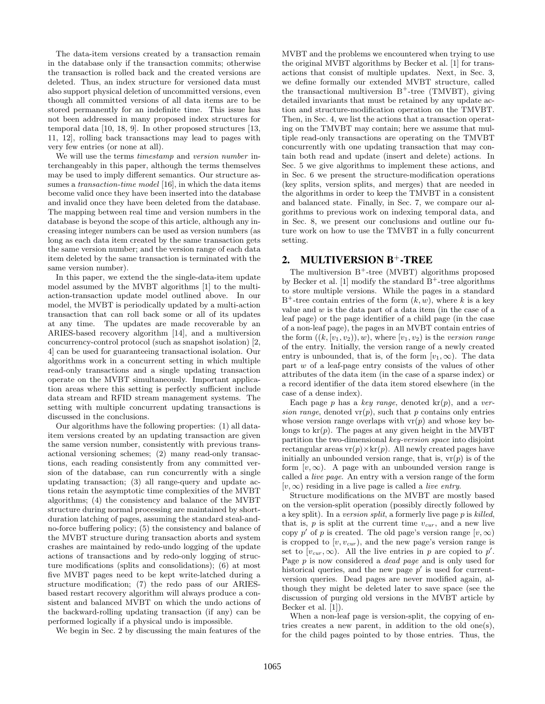The data-item versions created by a transaction remain in the database only if the transaction commits; otherwise the transaction is rolled back and the created versions are deleted. Thus, an index structure for versioned data must also support physical deletion of uncommitted versions, even though all committed versions of all data items are to be stored permanently for an indefinite time. This issue has not been addressed in many proposed index structures for temporal data [10, 18, 9]. In other proposed structures [13, 11, 12], rolling back transactions may lead to pages with very few entries (or none at all).

We will use the terms *timestamp* and *version number* interchangeably in this paper, although the terms themselves may be used to imply different semantics. Our structure assumes a *transaction-time model* [16], in which the data items become valid once they have been inserted into the database and invalid once they have been deleted from the database. The mapping between real time and version numbers in the database is beyond the scope of this article, although any increasing integer numbers can be used as version numbers (as long as each data item created by the same transaction gets the same version number; and the version range of each data item deleted by the same transaction is terminated with the same version number).

In this paper, we extend the the single-data-item update model assumed by the MVBT algorithms [1] to the multiaction-transaction update model outlined above. In our model, the MVBT is periodically updated by a multi-action transaction that can roll back some or all of its updates at any time. The updates are made recoverable by an ARIES-based recovery algorithm [14], and a multiversion concurrency-control protocol (such as snapshot isolation) [2, 4] can be used for guaranteeing transactional isolation. Our algorithms work in a concurrent setting in which multiple read-only transactions and a single updating transaction operate on the MVBT simultaneously. Important application areas where this setting is perfectly sufficient include data stream and RFID stream management systems. The setting with multiple concurrent updating transactions is discussed in the conclusions.

Our algorithms have the following properties: (1) all dataitem versions created by an updating transaction are given the same version number, consistently with previous transactional versioning schemes; (2) many read-only transactions, each reading consistently from any committed version of the database, can run concurrently with a single updating transaction; (3) all range-query and update actions retain the asymptotic time complexities of the MVBT algorithms; (4) the consistency and balance of the MVBT structure during normal processing are maintained by shortduration latching of pages, assuming the standard steal-andno-force buffering policy; (5) the consistency and balance of the MVBT structure during transaction aborts and system crashes are maintained by redo-undo logging of the update actions of transactions and by redo-only logging of structure modifications (splits and consolidations); (6) at most five MVBT pages need to be kept write-latched during a structure modification; (7) the redo pass of our ARIESbased restart recovery algorithm will always produce a consistent and balanced MVBT on which the undo actions of the backward-rolling updating transaction (if any) can be performed logically if a physical undo is impossible.

We begin in Sec. 2 by discussing the main features of the

MVBT and the problems we encountered when trying to use the original MVBT algorithms by Becker et al. [1] for transactions that consist of multiple updates. Next, in Sec. 3, we define formally our extended MVBT structure, called the transactional multiversion  $B^+$ -tree (TMVBT), giving detailed invariants that must be retained by any update action and structure-modification operation on the TMVBT. Then, in Sec. 4, we list the actions that a transaction operating on the TMVBT may contain; here we assume that multiple read-only transactions are operating on the TMVBT concurrently with one updating transaction that may contain both read and update (insert and delete) actions. In Sec. 5 we give algorithms to implement these actions, and in Sec. 6 we present the structure-modification operations (key splits, version splits, and merges) that are needed in the algorithms in order to keep the TMVBT in a consistent and balanced state. Finally, in Sec. 7, we compare our algorithms to previous work on indexing temporal data, and in Sec. 8, we present our conclusions and outline our future work on how to use the TMVBT in a fully concurrent setting.

## 2. MULTIVERSION B<sup>+</sup>-TREE

The multiversion  $B^+$ -tree (MVBT) algorithms proposed by Becker et al. [1] modify the standard  $B^+$ -tree algorithms to store multiple versions. While the pages in a standard B<sup>+</sup>-tree contain entries of the form  $(k, w)$ , where k is a key value and  $w$  is the data part of a data item (in the case of a leaf page) or the page identifier of a child page (in the case of a non-leaf page), the pages in an MVBT contain entries of the form  $((k, [v_1, v_2)), w)$ , where  $[v_1, v_2)$  is the version range of the entry. Initially, the version range of a newly created entry is unbounded, that is, of the form  $[v_1, \infty)$ . The data part w of a leaf-page entry consists of the values of other attributes of the data item (in the case of a sparse index) or a record identifier of the data item stored elsewhere (in the case of a dense index).

Each page p has a key range, denoted  $\text{kr}(p)$ , and a version range, denoted  $\text{vr}(p)$ , such that p contains only entries whose version range overlaps with  $vr(p)$  and whose key belongs to  $kr(p)$ . The pages at any given height in the MVBT partition the two-dimensional key-version space into disjoint rectangular areas  $vr(p) \times kr(p)$ . All newly created pages have initially an unbounded version range, that is,  $\text{vr}(p)$  is of the form  $[v, \infty)$ . A page with an unbounded version range is called a live page. An entry with a version range of the form  $[v, \infty)$  residing in a live page is called a *live entry*.

Structure modifications on the MVBT are mostly based on the version-split operation (possibly directly followed by a key split). In a version split, a formerly live page  $p$  is killed, that is,  $p$  is split at the current time  $v_{cur}$ , and a new live copy p' of p is created. The old page's version range  $[v, \infty)$ is cropped to  $[v, v_{cur}]$ , and the new page's version range is set to  $[v_{cur}, \infty)$ . All the live entries in p are copied to p'. Page p is now considered a *dead page* and is only used for historical queries, and the new page  $p'$  is used for currentversion queries. Dead pages are never modified again, although they might be deleted later to save space (see the discussion of purging old versions in the MVBT article by Becker et al. [1]).

When a non-leaf page is version-split, the copying of entries creates a new parent, in addition to the old one(s), for the child pages pointed to by those entries. Thus, the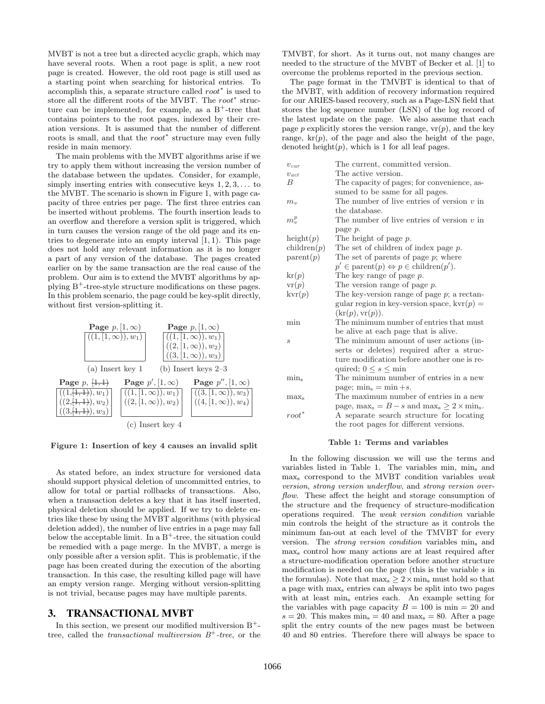MVBT is not a tree but a directed acyclic graph, which may have several roots. When a root page is split, a new root page is created. However, the old root page is still used as a starting point when searching for historical entries. To accomplish this, a separate structure called root<sup>\*</sup> is used to store all the different roots of the MVBT. The root<sup>\*</sup> structure can be implemented, for example, as a  $B^+$ -tree that contains pointers to the root pages, indexed by their creation versions. It is assumed that the number of different roots is small, and that the *root*<sup>\*</sup> structure may even fully reside in main memory.

The main problems with the MVBT algorithms arise if we try to apply them without increasing the version number of the database between the updates. Consider, for example, simply inserting entries with consecutive keys  $1, 2, 3, \ldots$  to the MVBT. The scenario is shown in Figure 1, with page capacity of three entries per page. The first three entries can be inserted without problems. The fourth insertion leads to an overflow and therefore a version split is triggered, which in turn causes the version range of the old page and its entries to degenerate into an empty interval  $[1, 1)$ . This page does not hold any relevant information as it is no longer a part of any version of the database. The pages created earlier on by the same transaction are the real cause of the problem. Our aim is to extend the MVBT algorithms by applying  $B^+$ -tree-style structure modifications on these pages. In this problem scenario, the page could be key-split directly, without first version-splitting it.



Figure 1: Insertion of key 4 causes an invalid split

As stated before, an index structure for versioned data should support physical deletion of uncommitted entries, to allow for total or partial rollbacks of transactions. Also, when a transaction deletes a key that it has itself inserted, physical deletion should be applied. If we try to delete entries like these by using the MVBT algorithms (with physical deletion added), the number of live entries in a page may fall below the acceptable limit. In a  $B^+$ -tree, the situation could be remedied with a page merge. In the MVBT, a merge is only possible after a version split. This is problematic, if the page has been created during the execution of the aborting transaction. In this case, the resulting killed page will have an empty version range. Merging without version-splitting is not trivial, because pages may have multiple parents.

## 3. TRANSACTIONAL MVBT

In this section, we present our modified multiversion  $B^+$ tree, called the transactional multiversion  $B^+$ -tree, or the TMVBT, for short. As it turns out, not many changes are needed to the structure of the MVBT of Becker et al. [1] to overcome the problems reported in the previous section.

The page format in the TMVBT is identical to that of the MVBT, with addition of recovery information required for our ARIES-based recovery, such as a Page-LSN field that stores the log sequence number (LSN) of the log record of the latest update on the page. We also assume that each page p explicitly stores the version range,  $vr(p)$ , and the key range,  $kr(p)$ , of the page and also the height of the page, denoted height $(p)$ , which is 1 for all leaf pages.

| $v_{\textit{cur}}$ | The current, committed version.                                                      |  |  |
|--------------------|--------------------------------------------------------------------------------------|--|--|
| $v_{act}$          | The active version.                                                                  |  |  |
| B                  | The capacity of pages; for convenience, as-                                          |  |  |
|                    | sumed to be same for all pages.                                                      |  |  |
| $m_{v}$            | The number of live entries of version $v$ in                                         |  |  |
|                    | the database.                                                                        |  |  |
| $m_v^p$            | The number of live entries of version $v$ in                                         |  |  |
|                    | page p.                                                                              |  |  |
| height(p)          | The height of page p.                                                                |  |  |
| children(p)        | The set of children of index page $p$ .                                              |  |  |
| parent(p)          | The set of parents of page $p$ ; where                                               |  |  |
|                    | $p' \in \text{parent}(p) \Leftrightarrow p \in \text{children}(p').$                 |  |  |
| $\mathrm{kr}(p)$   | The key range of page $p$ .                                                          |  |  |
| $\text{vr}(p)$     | The version range of page $p$ .                                                      |  |  |
| $\text{kvr}(p)$    | The key-version range of page $p$ ; a rectan-                                        |  |  |
|                    | gular region in key-version space, $kvr(p) =$                                        |  |  |
|                    | $(\text{kr}(p), \text{vr}(p)).$                                                      |  |  |
| min                | The minimum number of entries that must                                              |  |  |
|                    | be alive at each page that is alive.                                                 |  |  |
| $\mathcal{S}_{0}$  | The minimum amount of user actions (in-                                              |  |  |
|                    | serts or deletes) required after a struc-                                            |  |  |
|                    | ture modification before another one is re-                                          |  |  |
|                    | quired; $0 \leq s \leq \min$                                                         |  |  |
| $\min_{s}$         | The minimum number of entries in a new                                               |  |  |
|                    | page; $\min_s = \min +s$ .                                                           |  |  |
| $max_{s}$          | The maximum number of entries in a new                                               |  |  |
|                    | page, max <sub>s</sub> = $B - s$ and max <sub>s</sub> $\geq 2 \times \text{min}_s$ . |  |  |
| $root^*$           | A separate search structure for locating                                             |  |  |
|                    | the root pages for different versions.                                               |  |  |

#### Table 1: Terms and variables

In the following discussion we will use the terms and variables listed in Table 1. The variables min, min<sup>s</sup> and max<sup>s</sup> correspond to the MVBT condition variables weak version, strong version underflow, and strong version overflow. These affect the height and storage consumption of the structure and the frequency of structure-modification operations required. The weak version condition variable min controls the height of the structure as it controls the minimum fan-out at each level of the TMVBT for every version. The strong version condition variables min<sup>s</sup> and max<sup>s</sup> control how many actions are at least required after a structure-modification operation before another structure modification is needed on the page (this is the variable s in the formulas). Note that  $\max_{s} \geq 2 \times \min_{s} \text{ must hold so that}$ a page with max<sup>s</sup> entries can always be split into two pages with at least min<sub>s</sub> entries each. An example setting for the variables with page capacity  $B = 100$  is min  $= 20$  and  $s = 20$ . This makes  $\min_s = 40$  and  $\max_s = 80$ . After a page split the entry counts of the new pages must be between 40 and 80 entries. Therefore there will always be space to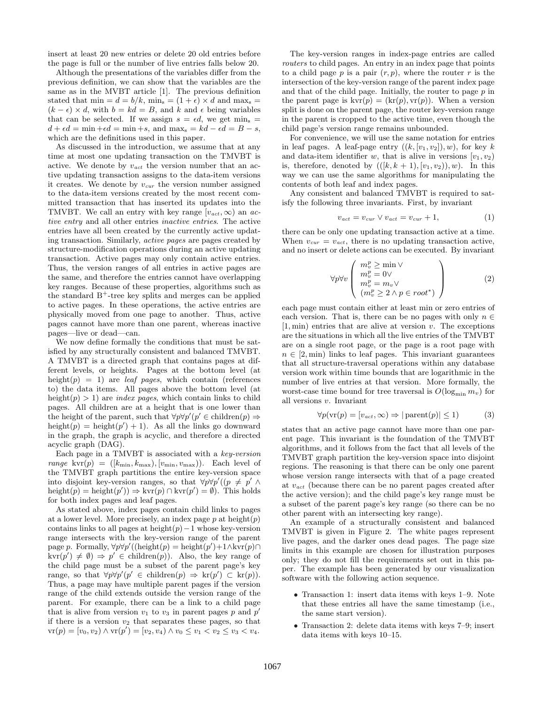insert at least 20 new entries or delete 20 old entries before the page is full or the number of live entries falls below 20.

Although the presentations of the variables differ from the previous definition, we can show that the variables are the same as in the MVBT article [1]. The previous definition stated that min =  $d = b/k$ , min<sub>s</sub> =  $(1 + \epsilon) \times d$  and max<sub>s</sub> =  $(k - \epsilon) \times d$ , with  $b = kd = B$ , and k and  $\epsilon$  being variables that can be selected. If we assign  $s = \epsilon d$ , we get min<sub>s</sub>  $d + \epsilon d = \min + \epsilon d = \min + s$ , and  $\max_s = kd - \epsilon d = B - s$ , which are the definitions used in this paper.

As discussed in the introduction, we assume that at any time at most one updating transaction on the TMVBT is active. We denote by  $v_{act}$  the version number that an active updating transaction assigns to the data-item versions it creates. We denote by  $v_{\text{cur}}$  the version number assigned to the data-item versions created by the most recent committed transaction that has inserted its updates into the TMVBT. We call an entry with key range  $[v_{act}, \infty)$  an active entry and all other entries inactive entries. The active entries have all been created by the currently active updating transaction. Similarly, active pages are pages created by structure-modification operations during an active updating transaction. Active pages may only contain active entries. Thus, the version ranges of all entries in active pages are the same, and therefore the entries cannot have overlapping key ranges. Because of these properties, algorithms such as the standard  $B^+$ -tree key splits and merges can be applied to active pages. In these operations, the active entries are physically moved from one page to another. Thus, active pages cannot have more than one parent, whereas inactive pages—live or dead—can.

We now define formally the conditions that must be satisfied by any structurally consistent and balanced TMVBT. A TMVBT is a directed graph that contains pages at different levels, or heights. Pages at the bottom level (at height(p) = 1) are *leaf pages*, which contain (references to) the data items. All pages above the bottom level (at height(p) > 1) are *index pages*, which contain links to child pages. All children are at a height that is one lower than the height of the parent, such that  $\forall p \forall p' (p' \in \text{children}(p) \Rightarrow$ height $(p)$  = height $(p') + 1$ ). As all the links go downward in the graph, the graph is acyclic, and therefore a directed acyclic graph (DAG).

Each page in a TMVBT is associated with a key-version range kvr $(p) = ([k_{\min}, k_{\max}), [v_{\min}, v_{\max})$ ). Each level of the TMVBT graph partitions the entire key-version space into disjoint key-version ranges, so that  $\forall p \forall p'((p \neq p' \land p))$ height $(p)$  = height $(p') \Rightarrow \text{kvr}(p) \cap \text{kvr}(p') = \emptyset$ ). This holds for both index pages and leaf pages.

As stated above, index pages contain child links to pages at a lower level. More precisely, an index page  $p$  at height $(p)$ contains links to all pages at height $(p)-1$  whose key-version range intersects with the key-version range of the parent page p. Formally,  $\forall p \forall p'$ ((height(p) = height(p')+1∧kvr(p)∩  $\text{kvr}(p') \neq \emptyset$   $\Rightarrow$   $p' \in \text{children}(p)$ . Also, the key range of the child page must be a subset of the parent page's key range, so that  $\forall p \forall p' (p' \in \text{children}(p) \Rightarrow \text{kr}(p') \subset \text{kr}(p)).$ Thus, a page may have multiple parent pages if the version range of the child extends outside the version range of the parent. For example, there can be a link to a child page that is alive from version  $v_1$  to  $v_3$  in parent pages p and  $p'$ if there is a version  $v_2$  that separates these pages, so that  $\text{vr}(p) = [v_0, v_2) \wedge \text{vr}(p')] = [v_2, v_4) \wedge v_0 \le v_1 < v_2 \le v_3 < v_4.$ 

The key-version ranges in index-page entries are called routers to child pages. An entry in an index page that points to a child page  $p$  is a pair  $(r, p)$ , where the router r is the intersection of the key-version range of the parent index page and that of the child page. Initially, the router to page  $p$  in the parent page is  $\text{kvr}(p) = (\text{kr}(p), \text{vr}(p))$ . When a version split is done on the parent page, the router key-version range in the parent is cropped to the active time, even though the child page's version range remains unbounded.

For convenience, we will use the same notation for entries in leaf pages. A leaf-page entry  $((k, [v_1, v_2]), w)$ , for key k and data-item identifier w, that is alive in versions  $[v_1, v_2]$ is, therefore, denoted by  $((k, k + 1), [v_1, v_2)), w)$ . In this way we can use the same algorithms for manipulating the contents of both leaf and index pages.

Any consistent and balanced TMVBT is required to satisfy the following three invariants. First, by invariant

$$
v_{act} = v_{cur} \lor v_{act} = v_{cur} + 1, \tag{1}
$$

there can be only one updating transaction active at a time. When  $v_{\text{cur}} = v_{\text{act}}$ , there is no updating transaction active, and no insert or delete actions can be executed. By invariant

$$
\forall p \forall v \left( \begin{array}{c} m_v^p \ge \min \vee \\ m_v^p = 0 \vee \\ m_v^p = m_v \vee \\ (m_v^p \ge 2 \wedge p \in root^*) \end{array} \right) \tag{2}
$$

each page must contain either at least min or zero entries of each version. That is, there can be no pages with only  $n \in$  $[1, \text{min})$  entries that are alive at version v. The exceptions are the situations in which all the live entries of the TMVBT are on a single root page, or the page is a root page with  $n \in [2, \text{min})$  links to leaf pages. This invariant guarantees that all structure-traversal operations within any database version work within time bounds that are logarithmic in the number of live entries at that version. More formally, the worst-case time bound for tree traversal is  $O(\log_{\min} m_v)$  for all versions v. Invariant

$$
\forall p(\text{vr}(p) = [v_{act}, \infty) \Rightarrow |\text{parent}(p)| \le 1)
$$
 (3)

states that an active page cannot have more than one parent page. This invariant is the foundation of the TMVBT algorithms, and it follows from the fact that all levels of the TMVBT graph partition the key-version space into disjoint regions. The reasoning is that there can be only one parent whose version range intersects with that of a page created at vact (because there can be no parent pages created after the active version); and the child page's key range must be a subset of the parent page's key range (so there can be no other parent with an intersecting key range).

An example of a structurally consistent and balanced TMVBT is given in Figure 2. The white pages represent live pages, and the darker ones dead pages. The page size limits in this example are chosen for illustration purposes only; they do not fill the requirements set out in this paper. The example has been generated by our visualization software with the following action sequence.

- Transaction 1: insert data items with keys 1–9. Note that these entries all have the same timestamp (i.e., the same start version).
- Transaction 2: delete data items with keys 7–9; insert data items with keys 10–15.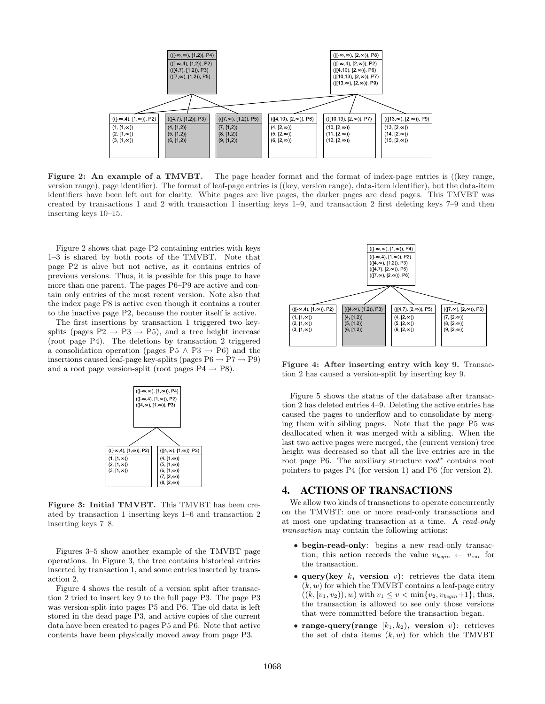

Figure 2: An example of a TMVBT. The page header format and the format of index-page entries is ((key range, version range), page identifier). The format of leaf-page entries is ((key, version range), data-item identifier), but the data-item identifiers have been left out for clarity. White pages are live pages, the darker pages are dead pages. This TMVBT was created by transactions 1 and 2 with transaction 1 inserting keys 1–9, and transaction 2 first deleting keys 7–9 and then inserting keys 10–15.

Figure 2 shows that page P2 containing entries with keys 1–3 is shared by both roots of the TMVBT. Note that page P2 is alive but not active, as it contains entries of previous versions. Thus, it is possible for this page to have more than one parent. The pages P6–P9 are active and contain only entries of the most recent version. Note also that the index page P8 is active even though it contains a router to the inactive page P2, because the router itself is active.

The first insertions by transaction 1 triggered two keysplits (pages  $P2 \rightarrow P3 \rightarrow P5$ ), and a tree height increase (root page P4). The deletions by transaction 2 triggered a consolidation operation (pages P5  $\land$  P3  $\rightarrow$  P6) and the insertions caused leaf-page key-splits (pages  $P6 \rightarrow P7 \rightarrow P9$ ) and a root page version-split (root pages  $P4 \rightarrow P8$ ).



Figure 3: Initial TMVBT. This TMVBT has been created by transaction 1 inserting keys 1–6 and transaction 2 inserting keys 7–8.

Figures 3–5 show another example of the TMVBT page operations. In Figure 3, the tree contains historical entries inserted by transaction 1, and some entries inserted by transaction 2.

Figure 4 shows the result of a version split after transaction 2 tried to insert key 9 to the full page P3. The page P3 was version-split into pages P5 and P6. The old data is left stored in the dead page P3, and active copies of the current data have been created to pages P5 and P6. Note that active contents have been physically moved away from page P3.



Figure 4: After inserting entry with key 9. Transaction 2 has caused a version-split by inserting key 9.

Figure 5 shows the status of the database after transaction 2 has deleted entries 4–9. Deleting the active entries has caused the pages to underflow and to consolidate by merging them with sibling pages. Note that the page P5 was deallocated when it was merged with a sibling. When the last two active pages were merged, the (current version) tree height was decreased so that all the live entries are in the root page P6. The auxiliary structure root<sup>\*</sup> contains root pointers to pages P4 (for version 1) and P6 (for version 2).

## 4. ACTIONS OF TRANSACTIONS

We allow two kinds of transactions to operate concurrently on the TMVBT: one or more read-only transactions and at most one updating transaction at a time. A read-only transaction may contain the following actions:

- begin-read-only: begins a new read-only transaction; this action records the value  $v_{\text{begin}} \leftarrow v_{\text{cur}}$  for the transaction.
- query(key k, version v): retrieves the data item  $(k, w)$  for which the TMVBT contains a leaf-page entry  $((k, [v_1, v_2)), w)$  with  $v_1 \le v < \min\{v_2, v_{begin}+1\};$  thus, the transaction is allowed to see only those versions that were committed before the transaction began.
- range-query(range  $[k_1, k_2)$ , version v): retrieves the set of data items  $(k, w)$  for which the TMVBT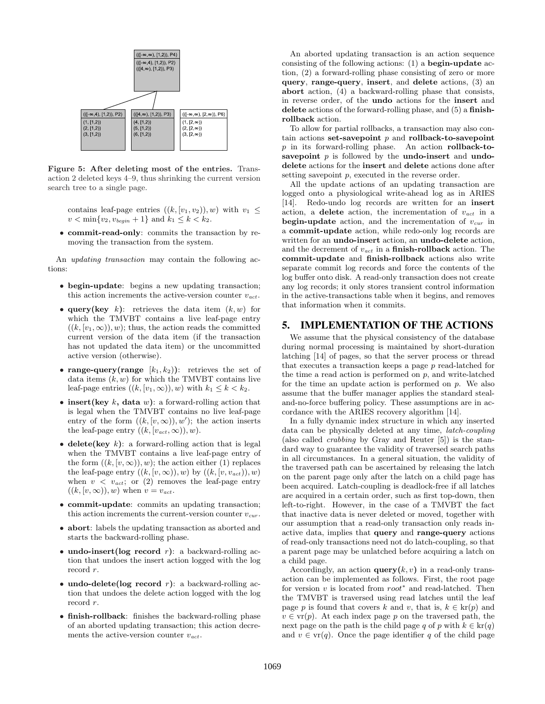

Figure 5: After deleting most of the entries. Transaction 2 deleted keys 4–9, thus shrinking the current version search tree to a single page.

- contains leaf-page entries  $((k, [v_1, v_2)), w)$  with  $v_1 \leq$  $v < \min\{v_2, v_{begin} + 1\}$  and  $k_1 \le k < k_2$ .
- commit-read-only: commits the transaction by removing the transaction from the system.

An updating transaction may contain the following actions:

- begin-update: begins a new updating transaction; this action increments the active-version counter  $v_{act}$ .
- query(key k): retrieves the data item  $(k, w)$  for which the TMVBT contains a live leaf-page entry  $((k, [v_1, \infty)), w)$ ; thus, the action reads the committed current version of the data item (if the transaction has not updated the data item) or the uncommitted active version (otherwise).
- range-query(range  $[k_1, k_2)$ ): retrieves the set of data items  $(k, w)$  for which the TMVBT contains live leaf-page entries  $((k, [v_1, \infty)), w)$  with  $k_1 \leq k \leq k_2$ .
- insert(key k, data w): a forward-rolling action that is legal when the TMVBT contains no live leaf-page entry of the form  $((k, [v, \infty)), w')$ ; the action inserts the leaf-page entry  $((k, [v_{act}, \infty)), w)$ .
- delete(key k): a forward-rolling action that is legal when the TMVBT contains a live leaf-page entry of the form  $((k, [v, \infty)), w)$ ; the action either (1) replaces the leaf-page entry  $((k, [v, \infty)), w)$  by  $((k, [v, v_{act})), w)$ when  $v < v_{act}$ ; or (2) removes the leaf-page entry  $((k, [v, \infty)), w)$  when  $v = v_{act}$ .
- commit-update: commits an updating transaction; this action increments the current-version counter  $v_{cur}$ .
- abort: labels the updating transaction as aborted and starts the backward-rolling phase.
- undo-insert(log record  $r$ ): a backward-rolling action that undoes the insert action logged with the log record r.
- undo-delete(log record  $r$ ): a backward-rolling action that undoes the delete action logged with the log record r.
- finish-rollback: finishes the backward-rolling phase of an aborted updating transaction; this action decrements the active-version counter  $v_{act}$ .

An aborted updating transaction is an action sequence consisting of the following actions: (1) a begin-update action, (2) a forward-rolling phase consisting of zero or more query, range-query, insert, and delete actions, (3) an abort action, (4) a backward-rolling phase that consists, in reverse order, of the undo actions for the insert and delete actions of the forward-rolling phase, and (5) a finishrollback action.

To allow for partial rollbacks, a transaction may also contain actions set-savepoint  $p$  and rollback-to-savepoint  $p$  in its forward-rolling phase. An action rollback-tosavepoint  $p$  is followed by the undo-insert and undodelete actions for the insert and delete actions done after setting savepoint  $p$ , executed in the reverse order.

All the update actions of an updating transaction are logged onto a physiological write-ahead log as in ARIES [14]. Redo-undo log records are written for an insert action, a delete action, the incrementation of  $v_{act}$  in a **begin-update** action, and the incrementation of  $v_{cur}$  in a commit-update action, while redo-only log records are written for an undo-insert action, an undo-delete action, and the decrement of  $v_{act}$  in a finish-rollback action. The commit-update and finish-rollback actions also write separate commit log records and force the contents of the log buffer onto disk. A read-only transaction does not create any log records; it only stores transient control information in the active-transactions table when it begins, and removes that information when it commits.

## 5. IMPLEMENTATION OF THE ACTIONS

We assume that the physical consistency of the database during normal processing is maintained by short-duration latching [14] of pages, so that the server process or thread that executes a transaction keeps a page p read-latched for the time a read action is performed on  $p$ , and write-latched for the time an update action is performed on p. We also assume that the buffer manager applies the standard stealand-no-force buffering policy. These assumptions are in accordance with the ARIES recovery algorithm [14].

In a fully dynamic index structure in which any inserted data can be physically deleted at any time, latch-coupling (also called crabbing by Gray and Reuter [5]) is the standard way to guarantee the validity of traversed search paths in all circumstances. In a general situation, the validity of the traversed path can be ascertained by releasing the latch on the parent page only after the latch on a child page has been acquired. Latch-coupling is deadlock-free if all latches are acquired in a certain order, such as first top-down, then left-to-right. However, in the case of a TMVBT the fact that inactive data is never deleted or moved, together with our assumption that a read-only transaction only reads inactive data, implies that query and range-query actions of read-only transactions need not do latch-coupling, so that a parent page may be unlatched before acquiring a latch on a child page.

Accordingly, an action  $\mathbf{query}(k, v)$  in a read-only transaction can be implemented as follows. First, the root page for version  $v$  is located from  $root^*$  and read-latched. Then the TMVBT is traversed using read latches until the leaf page p is found that covers k and v, that is,  $k \in \text{kr}(p)$  and  $v \in \text{vr}(p)$ . At each index page p on the traversed path, the next page on the path is the child page q of p with  $k \in \text{kr}(q)$ and  $v \in \text{vr}(q)$ . Once the page identifier q of the child page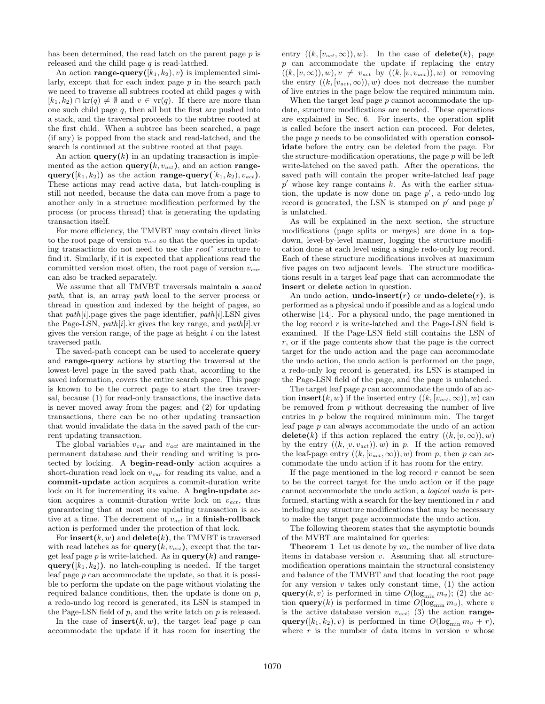has been determined, the read latch on the parent page p is released and the child page  $q$  is read-latched.

An action **range-query**( $[k_1, k_2), v$ ) is implemented similarly, except that for each index page  $p$  in the search path we need to traverse all subtrees rooted at child pages  $q$  with  $[k_1, k_2] \cap \text{kr}(q) \neq \emptyset$  and  $v \in \text{vr}(q)$ . If there are more than one such child page  $q$ , then all but the first are pushed into a stack, and the traversal proceeds to the subtree rooted at the first child. When a subtree has been searched, a page (if any) is popped from the stack and read-latched, and the search is continued at the subtree rooted at that page.

An action  $query(k)$  in an updating transaction is implemented as the action  $query(k, v_{act})$ , and an action range $query([k_1, k_2))$  as the action range-query([k<sub>1</sub>, k<sub>2</sub>),  $v_{act}$ ]. These actions may read active data, but latch-coupling is still not needed, because the data can move from a page to another only in a structure modification performed by the process (or process thread) that is generating the updating transaction itself.

For more efficiency, the TMVBT may contain direct links to the root page of version  $v_{act}$  so that the queries in updating transactions do not need to use the root<sup>∗</sup> structure to find it. Similarly, if it is expected that applications read the committed version most often, the root page of version  $v_{\text{cur}}$ can also be tracked separately.

We assume that all TMVBT traversals maintain a saved path, that is, an array path local to the server process or thread in question and indexed by the height of pages, so that *path*[i].page gives the page identifier, *path*[i].LSN gives the Page-LSN,  $path[i].$ kr gives the key range, and  $path[i].$ vr gives the version range, of the page at height  $i$  on the latest traversed path.

The saved-path concept can be used to accelerate query and range-query actions by starting the traversal at the lowest-level page in the saved path that, according to the saved information, covers the entire search space. This page is known to be the correct page to start the tree traversal, because (1) for read-only transactions, the inactive data is never moved away from the pages; and (2) for updating transactions, there can be no other updating transaction that would invalidate the data in the saved path of the current updating transaction.

The global variables  $v_{\text{cur}}$  and  $v_{\text{act}}$  are maintained in the permanent database and their reading and writing is protected by locking. A begin-read-only action acquires a short-duration read lock on  $v_{\text{cur}}$  for reading its value, and a commit-update action acquires a commit-duration write lock on it for incrementing its value. A begin-update action acquires a commit-duration write lock on  $v_{act}$ , thus guaranteeing that at most one updating transaction is active at a time. The decrement of  $v_{act}$  in a finish-rollback action is performed under the protection of that lock.

For  $\mathrm{insert}(k, w)$  and  $\mathrm{delete}(k)$ , the TMVBT is traversed with read latches as for  $query(k, v_{act})$ , except that the target leaf page p is write-latched. As in  $query(k)$  and range $query([k_1, k_2))$ , no latch-coupling is needed. If the target leaf page p can accommodate the update, so that it is possible to perform the update on the page without violating the required balance conditions, then the update is done on  $p$ , a redo-undo log record is generated, its LSN is stamped in the Page-LSN field of  $p$ , and the write latch on  $p$  is released.

In the case of **insert** $(k, w)$ , the target leaf page p can accommodate the update if it has room for inserting the entry  $((k, [v_{act}, \infty)), w)$ . In the case of **delete** $(k)$ , page  $p$  can accommodate the update if replacing the entry  $((k, [v, \infty)), w), v \neq v_{act}$  by  $((k, [v, v_{act})), w)$  or removing the entry  $((k, [v_{act}, \infty)), w)$  does not decrease the number of live entries in the page below the required minimum min.

When the target leaf page  $p$  cannot accommodate the update, structure modifications are needed. These operations are explained in Sec. 6. For inserts, the operation split is called before the insert action can proceed. For deletes, the page p needs to be consolidated with operation consolidate before the entry can be deleted from the page. For the structure-modification operations, the page  $p$  will be left write-latched on the saved path. After the operations, the saved path will contain the proper write-latched leaf page  $p'$  whose key range contains k. As with the earlier situation, the update is now done on page  $p'$ , a redo-undo log record is generated, the LSN is stamped on  $p'$  and page  $p'$ is unlatched.

As will be explained in the next section, the structure modifications (page splits or merges) are done in a topdown, level-by-level manner, logging the structure modification done at each level using a single redo-only log record. Each of these structure modifications involves at maximum five pages on two adjacent levels. The structure modifications result in a target leaf page that can accommodate the insert or delete action in question.

An undo action, **undo-insert** $(r)$  or **undo-delete** $(r)$ , is performed as a physical undo if possible and as a logical undo otherwise [14]. For a physical undo, the page mentioned in the log record  $r$  is write-latched and the Page-LSN field is examined. If the Page-LSN field still contains the LSN of  $r$ , or if the page contents show that the page is the correct target for the undo action and the page can accommodate the undo action, the undo action is performed on the page, a redo-only log record is generated, its LSN is stamped in the Page-LSN field of the page, and the page is unlatched.

The target leaf page p can accommodate the undo of an action **insert** $(k, w)$  if the inserted entry  $((k, [v_{act}, \infty)), w)$  can be removed from p without decreasing the number of live entries in  $p$  below the required minimum min. The target leaf page p can always accommodate the undo of an action **delete**(k) if this action replaced the entry  $((k, [v, \infty)), w)$ by the entry  $((k, [v, v_{act})), w)$  in p. If the action removed the leaf-page entry  $((k, [v_{act}, \infty)), w)$  from p, then p can accommodate the undo action if it has room for the entry.

If the page mentioned in the log record  $r$  cannot be seen to be the correct target for the undo action or if the page cannot accommodate the undo action, a logical undo is performed, starting with a search for the key mentioned in r and including any structure modifications that may be necessary to make the target page accommodate the undo action.

The following theorem states that the asymptotic bounds of the MVBT are maintained for queries:

**Theorem 1** Let us denote by  $m_v$  the number of live data items in database version  $v$ . Assuming that all structuremodification operations maintain the structural consistency and balance of the TMVBT and that locating the root page for any version  $v$  takes only constant time, (1) the action **query**(k, v) is performed in time  $O(\log_{\min} m_v)$ ; (2) the action **query**(k) is performed in time  $O(\log_{\min} m_v)$ , where v is the active database version  $v_{act}$ ; (3) the action **range**query([k<sub>1</sub>, k<sub>2</sub>), v) is performed in time  $O(\log_{\min} m_v + r)$ , where  $r$  is the number of data items in version  $v$  whose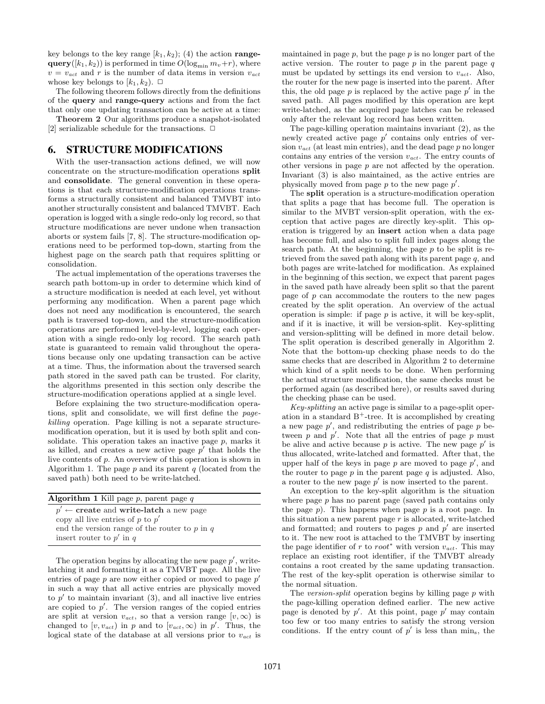key belongs to the key range  $[k_1, k_2)$ ; (4) the action **range** $query([k_1, k_2))$  is performed in time  $O(log_{\text{min}} m_v+r)$ , where  $v = v_{act}$  and r is the number of data items in version  $v_{act}$ whose key belongs to  $[k_1, k_2]$ .  $\Box$ 

The following theorem follows directly from the definitions of the query and range-query actions and from the fact that only one updating transaction can be active at a time:

Theorem 2 Our algorithms produce a snapshot-isolated [2] serializable schedule for the transactions.  $\Box$ 

#### 6. STRUCTURE MODIFICATIONS

With the user-transaction actions defined, we will now concentrate on the structure-modification operations split and consolidate. The general convention in these operations is that each structure-modification operations transforms a structurally consistent and balanced TMVBT into another structurally consistent and balanced TMVBT. Each operation is logged with a single redo-only log record, so that structure modifications are never undone when transaction aborts or system fails [7, 8]. The structure-modification operations need to be performed top-down, starting from the highest page on the search path that requires splitting or consolidation.

The actual implementation of the operations traverses the search path bottom-up in order to determine which kind of a structure modification is needed at each level, yet without performing any modification. When a parent page which does not need any modification is encountered, the search path is traversed top-down, and the structure-modification operations are performed level-by-level, logging each operation with a single redo-only log record. The search path state is guaranteed to remain valid throughout the operations because only one updating transaction can be active at a time. Thus, the information about the traversed search path stored in the saved path can be trusted. For clarity, the algorithms presented in this section only describe the structure-modification operations applied at a single level.

Before explaining the two structure-modification operations, split and consolidate, we will first define the pagekilling operation. Page killing is not a separate structuremodification operation, but it is used by both split and consolidate. This operation takes an inactive page  $p$ , marks it as killed, and creates a new active page  $p'$  that holds the live contents of p. An overview of this operation is shown in Algorithm 1. The page  $p$  and its parent  $q$  (located from the saved path) both need to be write-latched.

| <b>Algorithm 1</b> Kill page p, parent page q     |  |
|---------------------------------------------------|--|
| $p' \leftarrow$ create and write-latch a new page |  |
| copy all live entries of $p$ to $p'$              |  |
| end the version range of the router to $p$ in $q$ |  |
| insert router to $p'$ in q                        |  |

The operation begins by allocating the new page  $p'$ , writelatching it and formatting it as a TMVBT page. All the live entries of page  $p$  are now either copied or moved to page  $p'$ in such a way that all active entries are physically moved to  $p'$  to maintain invariant (3), and all inactive live entries are copied to  $p'$ . The version ranges of the copied entries are split at version  $v_{act}$ , so that a version range  $[v, \infty)$  is changed to  $[v, v_{act})$  in p and to  $[v_{act}, \infty)$  in p'. Thus, the logical state of the database at all versions prior to  $v_{act}$  is maintained in page  $p$ , but the page  $p$  is no longer part of the active version. The router to page  $p$  in the parent page  $q$ must be updated by settings its end version to  $v_{act}$ . Also, the router for the new page is inserted into the parent. After this, the old page  $p$  is replaced by the active page  $p'$  in the saved path. All pages modified by this operation are kept write-latched, as the acquired page latches can be released only after the relevant log record has been written.

The page-killing operation maintains invariant (2), as the newly created active page  $p'$  contains only entries of version  $v_{act}$  (at least min entries), and the dead page  $p$  no longer contains any entries of the version  $v_{act}$ . The entry counts of other versions in page  $p$  are not affected by the operation. Invariant (3) is also maintained, as the active entries are physically moved from page  $p$  to the new page  $p'$ .

The split operation is a structure-modification operation that splits a page that has become full. The operation is similar to the MVBT version-split operation, with the exception that active pages are directly key-split. This operation is triggered by an insert action when a data page has become full, and also to split full index pages along the search path. At the beginning, the page  $p$  to be split is retrieved from the saved path along with its parent page  $q$ , and both pages are write-latched for modification. As explained in the beginning of this section, we expect that parent pages in the saved path have already been split so that the parent page of  $p$  can accommodate the routers to the new pages created by the split operation. An overview of the actual operation is simple: if page  $p$  is active, it will be key-split, and if it is inactive, it will be version-split. Key-splitting and version-splitting will be defined in more detail below. The split operation is described generally in Algorithm 2. Note that the bottom-up checking phase needs to do the same checks that are described in Algorithm 2 to determine which kind of a split needs to be done. When performing the actual structure modification, the same checks must be performed again (as described here), or results saved during the checking phase can be used.

Key-splitting an active page is similar to a page-split operation in a standard  $B^+$ -tree. It is accomplished by creating a new page  $p'$ , and redistributing the entries of page  $p$  between  $p$  and  $p'$ . Note that all the entries of page  $p$  must be alive and active because  $p$  is active. The new page  $p'$  is thus allocated, write-latched and formatted. After that, the upper half of the keys in page  $p$  are moved to page  $p'$ , and the router to page  $p$  in the parent page  $q$  is adjusted. Also, a router to the new page  $p'$  is now inserted to the parent.

An exception to the key-split algorithm is the situation where page  $p$  has no parent page (saved path contains only the page  $p$ ). This happens when page  $p$  is a root page. In this situation a new parent page  $r$  is allocated, write-latched and formatted; and routers to pages  $p$  and  $p'$  are inserted to it. The new root is attached to the TMVBT by inserting the page identifier of r to root<sup>\*</sup> with version  $v_{act}$ . This may replace an existing root identifier, if the TMVBT already contains a root created by the same updating transaction. The rest of the key-split operation is otherwise similar to the normal situation.

The version-split operation begins by killing page p with the page-killing operation defined earlier. The new active page is denoted by  $p'$ . At this point, page  $p'$  may contain too few or too many entries to satisfy the strong version conditions. If the entry count of  $p'$  is less than  $\min_s$ , the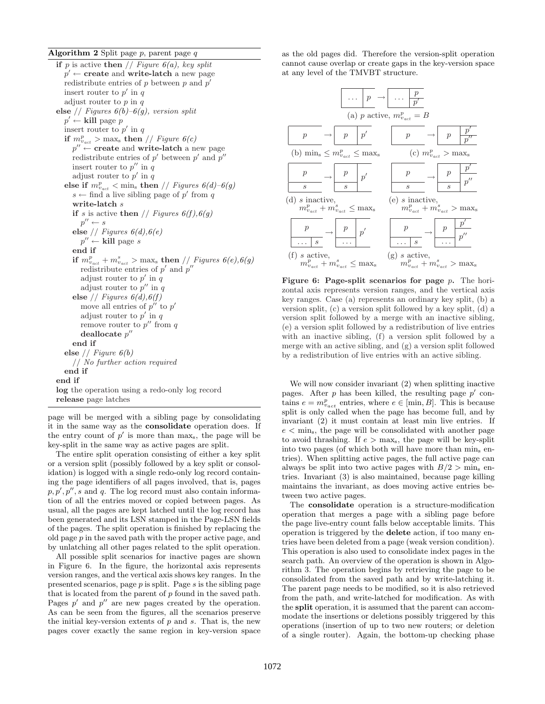Algorithm 2 Split page  $p$ , parent page  $q$ 

| $\mathbf{r}$<br>$\mathbf{r}$ or $\mathbf{r}$ , $\mathbf{r}$ ,                            |
|------------------------------------------------------------------------------------------|
| if p is active then // Figure $6(a)$ , key split                                         |
| $p' \leftarrow$ create and write-latch a new page                                        |
| redistribute entries of p between p and $p'$                                             |
| insert router to $p'$ in q                                                               |
| adjust router to $p$ in $q$                                                              |
| else // Figures $6(b)-6(g)$ , version split                                              |
| $p' \leftarrow$ kill page p                                                              |
| insert router to $p'$ in q                                                               |
| if $m_{v_{act}}^p > \text{max}_s$ then // Figure 6(c)                                    |
| $p'' \leftarrow$ create and write-latch a new page                                       |
| redistribute entries of $p'$ between $p'$ and $p''$                                      |
| insert router to $p''$ in q                                                              |
| adjust router to $p'$ in q                                                               |
| else if $m_{v_{act}}^p <$ min <sub>s</sub> then // Figures 6(d)-6(g)                     |
| $s \leftarrow$ find a live sibling page of p' from q                                     |
| write-latch s                                                                            |
| if s is active then // Figures $6(f), 6(g)$                                              |
| $p'' \leftarrow s$                                                                       |
| else // Figures $6(d), 6(e)$                                                             |
| $p'' \leftarrow$ kill page s                                                             |
| end if                                                                                   |
| if $m_{v_{act}}^p + m_{v_{act}}^s > \text{max}_s$ then // Figures $\theta(e), \theta(g)$ |
| redistribute entries of $p'$ and $p''$                                                   |
| adjust router to $p'$ in q                                                               |
| adjust router to $p''$ in q                                                              |
| else // Figures $6(d)$ , $6(f)$                                                          |
| move all entries of $p''$ to $p'$                                                        |
| adjust router to $p'$ in q                                                               |
| remove router to $p''$ from q                                                            |
| deallocate $p''$                                                                         |
| end if                                                                                   |
| else // Figure $6(b)$                                                                    |
| $//$ No further action required                                                          |
| end if                                                                                   |
| end if                                                                                   |
| log the operation using a redo-only log record                                           |
| release page latches                                                                     |

page will be merged with a sibling page by consolidating it in the same way as the consolidate operation does. If the entry count of  $p'$  is more than max<sub>s</sub>, the page will be key-split in the same way as active pages are split.

The entire split operation consisting of either a key split or a version split (possibly followed by a key split or consolidation) is logged with a single redo-only log record containing the page identifiers of all pages involved, that is, pages  $p, p', p'', s$  and q. The log record must also contain information of all the entries moved or copied between pages. As usual, all the pages are kept latched until the log record has been generated and its LSN stamped in the Page-LSN fields of the pages. The split operation is finished by replacing the old page  $p$  in the saved path with the proper active page, and by unlatching all other pages related to the split operation.

All possible split scenarios for inactive pages are shown in Figure 6. In the figure, the horizontal axis represents version ranges, and the vertical axis shows key ranges. In the presented scenarios, page  $p$  is split. Page  $s$  is the sibling page that is located from the parent of p found in the saved path. Pages  $p'$  and  $p''$  are new pages created by the operation. As can be seen from the figures, all the scenarios preserve the initial key-version extents of  $p$  and  $s$ . That is, the new pages cover exactly the same region in key-version space as the old pages did. Therefore the version-split operation cannot cause overlap or create gaps in the key-version space at any level of the TMVBT structure.



**Figure 6:** Page-split scenarios for page  $p$ . The horizontal axis represents version ranges, and the vertical axis key ranges. Case (a) represents an ordinary key split, (b) a version split, (c) a version split followed by a key split, (d) a version split followed by a merge with an inactive sibling, (e) a version split followed by a redistribution of live entries with an inactive sibling, (f) a version split followed by a merge with an active sibling, and (g) a version split followed by a redistribution of live entries with an active sibling.

We will now consider invariant (2) when splitting inactive pages. After  $p$  has been killed, the resulting page  $p'$  contains  $e = m_{v_{act}}^p$  entries, where  $e \in [\min, B]$ . This is because split is only called when the page has become full, and by invariant (2) it must contain at least min live entries. If  $e < \text{min}_s$ , the page will be consolidated with another page to avoid thrashing. If  $e > \max_s$ , the page will be key-split into two pages (of which both will have more than min<sup>s</sup> entries). When splitting active pages, the full active page can always be split into two active pages with  $B/2 > min<sub>s</sub>$  entries. Invariant (3) is also maintained, because page killing maintains the invariant, as does moving active entries between two active pages.

The consolidate operation is a structure-modification operation that merges a page with a sibling page before the page live-entry count falls below acceptable limits. This operation is triggered by the delete action, if too many entries have been deleted from a page (weak version condition). This operation is also used to consolidate index pages in the search path. An overview of the operation is shown in Algorithm 3. The operation begins by retrieving the page to be consolidated from the saved path and by write-latching it. The parent page needs to be modified, so it is also retrieved from the path, and write-latched for modification. As with the split operation, it is assumed that the parent can accommodate the insertions or deletions possibly triggered by this operations (insertion of up to two new routers; or deletion of a single router). Again, the bottom-up checking phase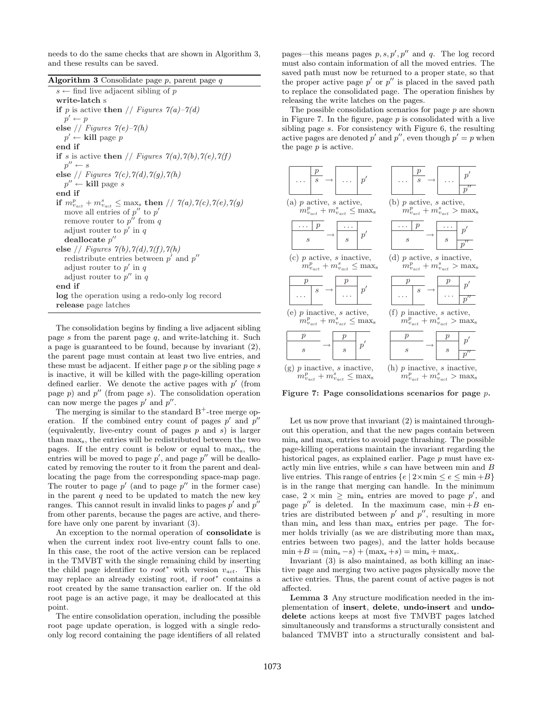needs to do the same checks that are shown in Algorithm 3, and these results can be saved.

| <b>Algorithm 3</b> Consolidate page $p$ , parent page $q$ |  |  |  |  |  |
|-----------------------------------------------------------|--|--|--|--|--|
|-----------------------------------------------------------|--|--|--|--|--|

| o<br>$\cdots$ $\cdots$<br>r o                                                                                      |
|--------------------------------------------------------------------------------------------------------------------|
| $s \leftarrow$ find live adjacent sibling of p                                                                     |
| write-latch s                                                                                                      |
| if p is active then // Figures $\gamma(a)$ - $\gamma(d)$                                                           |
| $p' \leftarrow p$                                                                                                  |
| else // Figures $\gamma(e)$ - $\gamma(h)$                                                                          |
| $p' \leftarrow$ kill page p                                                                                        |
| end if                                                                                                             |
| if s is active then // Figures $\mathcal{T}(a), \mathcal{T}(b), \mathcal{T}(e), \mathcal{T}(f)$                    |
| $p'' \leftarrow s$                                                                                                 |
| else // Figures $7(c), 7(d), 7(g), 7(h)$                                                                           |
| $p'' \leftarrow$ kill page s                                                                                       |
| end if                                                                                                             |
| if $m_{v_{act}}^p + m_{v_{act}}^s \leq \text{max}_{\text{s}}$ then // $\gamma(a), \gamma(c), \gamma(e), \gamma(g)$ |
| move all entries of $p''$ to $p'$                                                                                  |
| remove router to $p''$ from q                                                                                      |
| adjust router to $p'$ in q                                                                                         |
| deallocate $p''$                                                                                                   |
| else // Figures $\gamma(b)$ , $\gamma(d)$ , $\gamma(f)$ , $\gamma(h)$                                              |
| redistribute entries between $p'$ and $p''$                                                                        |
| adjust router to $p'$ in q                                                                                         |
| adjust router to $p''$ in q                                                                                        |
| end if                                                                                                             |
| log the operation using a redo-only log record                                                                     |
| release page latches                                                                                               |

The consolidation begins by finding a live adjacent sibling page  $s$  from the parent page  $q$ , and write-latching it. Such a page is guaranteed to be found, because by invariant (2), the parent page must contain at least two live entries, and these must be adjacent. If either page  $p$  or the sibling page  $s$ is inactive, it will be killed with the page-killing operation defined earlier. We denote the active pages with  $p'$  (from page  $p$ ) and  $p''$  (from page  $s$ ). The consolidation operation can now merge the pages  $p'$  and  $p''$ .

The merging is similar to the standard  $B^+$ -tree merge operation. If the combined entry count of pages  $p'$  and  $p''$ (equivalently, live-entry count of pages  $p$  and  $s$ ) is larger than maxs, the entries will be redistributed between the two pages. If the entry count is below or equal to maxs, the entries will be moved to page  $p'$ , and page  $p''$  will be deallocated by removing the router to it from the parent and deallocating the page from the corresponding space-map page. The router to page  $p'$  (and to page  $p''$  in the former case) in the parent  $q$  need to be updated to match the new key ranges. This cannot result in invalid links to pages  $p'$  and  $p''$ from other parents, because the pages are active, and therefore have only one parent by invariant (3).

An exception to the normal operation of consolidate is when the current index root live-entry count falls to one. In this case, the root of the active version can be replaced in the TMVBT with the single remaining child by inserting the child page identifier to root<sup>\*</sup> with version  $v_{act}$ . This may replace an already existing root, if root<sup>\*</sup> contains a root created by the same transaction earlier on. If the old root page is an active page, it may be deallocated at this point.

The entire consolidation operation, including the possible root page update operation, is logged with a single redoonly log record containing the page identifiers of all related

pages—this means pages  $p, s, p', p''$  and q. The log record must also contain information of all the moved entries. The saved path must now be returned to a proper state, so that the proper active page  $p'$  or  $p''$  is placed in the saved path to replace the consolidated page. The operation finishes by releasing the write latches on the pages.

The possible consolidation scenarios for page  $p$  are shown in Figure 7. In the figure, page  $p$  is consolidated with a live sibling page s. For consistency with Figure 6, the resulting active pages are denoted p' and p'', even though  $p' = p$  when the page p is active.



Figure 7: Page consolidations scenarios for page  $p$ .

Let us now prove that invariant (2) is maintained throughout this operation, and that the new pages contain between min<sup>s</sup> and max<sup>s</sup> entries to avoid page thrashing. The possible page-killing operations maintain the invariant regarding the historical pages, as explained earlier. Page p must have exactly min live entries, while s can have between min and B live entries. This range of entries  $\{e \mid 2 \times \min \le e \le \min + B\}$ is in the range that merging can handle. In the minimum case,  $2 \times \min$   $\geq$  min<sub>s</sub> entries are moved to page p', and page  $p''$  is deleted. In the maximum case, min +B entries are distributed between  $p'$  and  $p''$ , resulting in more than min<sup>s</sup> and less than max<sup>s</sup> entries per page. The former holds trivially (as we are distributing more than max<sup>s</sup> entries between two pages), and the latter holds because  $\min + B = (\min_{s} - s) + (\max_{s} + s) = \min_{s} + \max_{s}$ .

Invariant (3) is also maintained, as both killing an inactive page and merging two active pages physically move the active entries. Thus, the parent count of active pages is not affected.

Lemma 3 Any structure modification needed in the implementation of insert, delete, undo-insert and undodelete actions keeps at most five TMVBT pages latched simultaneously and transforms a structurally consistent and balanced TMVBT into a structurally consistent and bal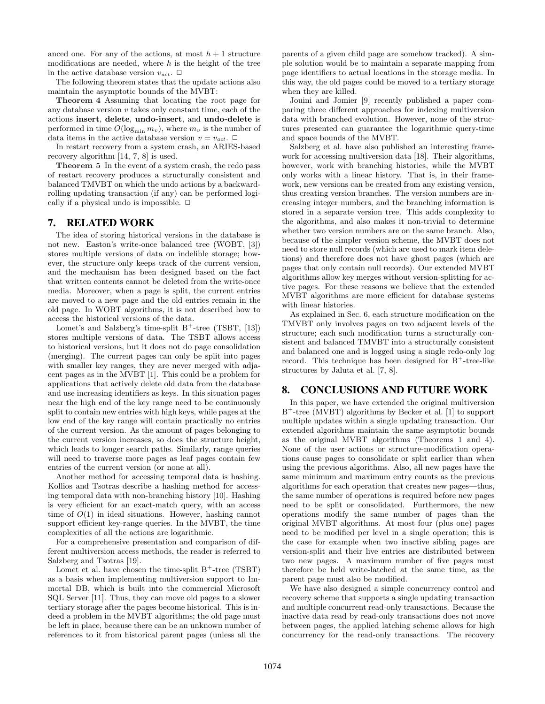anced one. For any of the actions, at most  $h+1$  structure modifications are needed, where  $h$  is the height of the tree in the active database version  $v_{act}$ .  $\Box$ 

The following theorem states that the update actions also maintain the asymptotic bounds of the MVBT:

Theorem 4 Assuming that locating the root page for any database version  $v$  takes only constant time, each of the actions insert, delete, undo-insert, and undo-delete is performed in time  $O(\log_{\min} m_v)$ , where  $m_v$  is the number of data items in the active database version  $v = v_{act}$ .  $\Box$ 

In restart recovery from a system crash, an ARIES-based recovery algorithm [14, 7, 8] is used.

Theorem 5 In the event of a system crash, the redo pass of restart recovery produces a structurally consistent and balanced TMVBT on which the undo actions by a backwardrolling updating transaction (if any) can be performed logically if a physical undo is impossible.  $\Box$ 

## 7. RELATED WORK

The idea of storing historical versions in the database is not new. Easton's write-once balanced tree (WOBT, [3]) stores multiple versions of data on indelible storage; however, the structure only keeps track of the current version, and the mechanism has been designed based on the fact that written contents cannot be deleted from the write-once media. Moreover, when a page is split, the current entries are moved to a new page and the old entries remain in the old page. In WOBT algorithms, it is not described how to access the historical versions of the data.

Lomet's and Salzberg's time-split  $B^+$ -tree (TSBT, [13]) stores multiple versions of data. The TSBT allows access to historical versions, but it does not do page consolidation (merging). The current pages can only be split into pages with smaller key ranges, they are never merged with adjacent pages as in the MVBT [1]. This could be a problem for applications that actively delete old data from the database and use increasing identifiers as keys. In this situation pages near the high end of the key range need to be continuously split to contain new entries with high keys, while pages at the low end of the key range will contain practically no entries of the current version. As the amount of pages belonging to the current version increases, so does the structure height, which leads to longer search paths. Similarly, range queries will need to traverse more pages as leaf pages contain few entries of the current version (or none at all).

Another method for accessing temporal data is hashing. Kollios and Tsotras describe a hashing method for accessing temporal data with non-branching history [10]. Hashing is very efficient for an exact-match query, with an access time of  $O(1)$  in ideal situations. However, hashing cannot support efficient key-range queries. In the MVBT, the time complexities of all the actions are logarithmic.

For a comprehensive presentation and comparison of different multiversion access methods, the reader is referred to Salzberg and Tsotras [19].

Lomet et al. have chosen the time-split  $B^+$ -tree (TSBT) as a basis when implementing multiversion support to Immortal DB, which is built into the commercial Microsoft SQL Server [11]. Thus, they can move old pages to a slower tertiary storage after the pages become historical. This is indeed a problem in the MVBT algorithms; the old page must be left in place, because there can be an unknown number of references to it from historical parent pages (unless all the

parents of a given child page are somehow tracked). A simple solution would be to maintain a separate mapping from page identifiers to actual locations in the storage media. In this way, the old pages could be moved to a tertiary storage when they are killed.

Jouini and Jomier [9] recently published a paper comparing three different approaches for indexing multiversion data with branched evolution. However, none of the structures presented can guarantee the logarithmic query-time and space bounds of the MVBT.

Salzberg et al. have also published an interesting framework for accessing multiversion data [18]. Their algorithms, however, work with branching histories, while the MVBT only works with a linear history. That is, in their framework, new versions can be created from any existing version, thus creating version branches. The version numbers are increasing integer numbers, and the branching information is stored in a separate version tree. This adds complexity to the algorithms, and also makes it non-trivial to determine whether two version numbers are on the same branch. Also, because of the simpler version scheme, the MVBT does not need to store null records (which are used to mark item deletions) and therefore does not have ghost pages (which are pages that only contain null records). Our extended MVBT algorithms allow key merges without version-splitting for active pages. For these reasons we believe that the extended MVBT algorithms are more efficient for database systems with linear histories.

As explained in Sec. 6, each structure modification on the TMVBT only involves pages on two adjacent levels of the structure; each such modification turns a structurally consistent and balanced TMVBT into a structurally consistent and balanced one and is logged using a single redo-only log record. This technique has been designed for  $B^+$ -tree-like structures by Jaluta et al. [7, 8].

## 8. CONCLUSIONS AND FUTURE WORK

In this paper, we have extended the original multiversion B <sup>+</sup>-tree (MVBT) algorithms by Becker et al. [1] to support multiple updates within a single updating transaction. Our extended algorithms maintain the same asymptotic bounds as the original MVBT algorithms (Theorems 1 and 4). None of the user actions or structure-modification operations cause pages to consolidate or split earlier than when using the previous algorithms. Also, all new pages have the same minimum and maximum entry counts as the previous algorithms for each operation that creates new pages—thus, the same number of operations is required before new pages need to be split or consolidated. Furthermore, the new operations modify the same number of pages than the original MVBT algorithms. At most four (plus one) pages need to be modified per level in a single operation; this is the case for example when two inactive sibling pages are version-split and their live entries are distributed between two new pages. A maximum number of five pages must therefore be held write-latched at the same time, as the parent page must also be modified.

We have also designed a simple concurrency control and recovery scheme that supports a single updating transaction and multiple concurrent read-only transactions. Because the inactive data read by read-only transactions does not move between pages, the applied latching scheme allows for high concurrency for the read-only transactions. The recovery